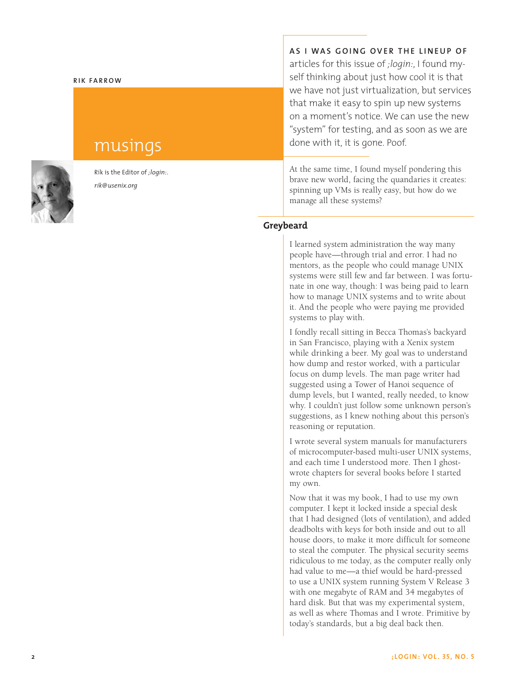### **RIK FARROW**

# musings

Rik is the Editor of *;login:*. *rik@usenix.org*

**AS I WAS GOING OVER THE LINEUP OF** articles for this issue of *;login:*, I found myself thinking about just how cool it is that we have not just virtualization, but services that make it easy to spin up new systems on a moment's notice. We can use the new "system" for testing, and as soon as we are done with it, it is gone. Poof.

At the same time, I found myself pondering this brave new world, facing the quandaries it creates: spinning up VMs is really easy, but how do we manage all these systems?

# **Greybeard**

I learned system administration the way many people have—through trial and error. I had no mentors, as the people who could manage UNIX systems were still few and far between. I was fortunate in one way, though: I was being paid to learn how to manage UNIX systems and to write about it. And the people who were paying me provided systems to play with.

I fondly recall sitting in Becca Thomas's backyard in San Francisco, playing with a Xenix system while drinking a beer. My goal was to understand how dump and restor worked, with a particular focus on dump levels. The man page writer had suggested using a Tower of Hanoi sequence of dump levels, but I wanted, really needed, to know why. I couldn't just follow some unknown person's suggestions, as I knew nothing about this person's reasoning or reputation.

I wrote several system manuals for manufacturers of microcomputer-based multi-user UNIX systems, and each time I understood more. Then I ghostwrote chapters for several books before I started my own.

Now that it was my book, I had to use my own computer. I kept it locked inside a special desk that I had designed (lots of ventilation), and added deadbolts with keys for both inside and out to all house doors, to make it more difficult for someone to steal the computer. The physical security seems ridiculous to me today, as the computer really only had value to me—a thief would be hard-pressed to use a UNIX system running System V Release 3 with one megabyte of RAM and 34 megabytes of hard disk. But that was my experimental system, as well as where Thomas and I wrote. Primitive by today's standards, but a big deal back then.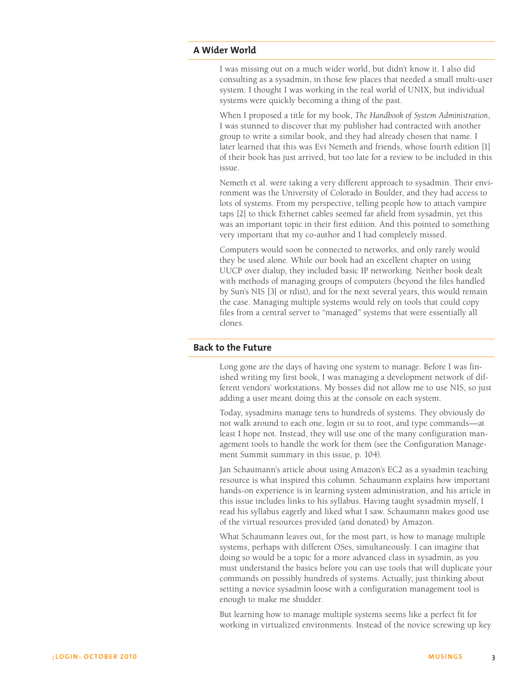# **A Wider World**

I was missing out on a much wider world, but didn't know it. I also did consulting as a sysadmin, in those few places that needed a small multi-user system. I thought I was working in the real world of UNIX, but individual systems were quickly becoming a thing of the past.

When I proposed a title for my book, *The Handbook of System Administration*, I was stunned to discover that my publisher had contracted with another group to write a similar book, and they had already chosen that name. I later learned that this was Evi Nemeth and friends, whose fourth edition [1] of their book has just arrived, but too late for a review to be included in this issue.

Nemeth et al. were taking a very different approach to sysadmin. Their environment was the University of Colorado in Boulder, and they had access to lots of systems. From my perspective, telling people how to attach vampire taps [2] to thick Ethernet cables seemed far afield from sysadmin, yet this was an important topic in their first edition. And this pointed to something very important that my co-author and I had completely missed.

Computers would soon be connected to networks, and only rarely would they be used alone. While our book had an excellent chapter on using UUCP over dialup, they included basic IP networking. Neither book dealt with methods of managing groups of computers (beyond the files handled by Sun's NIS [3] or rdist), and for the next several years, this would remain the case. Managing multiple systems would rely on tools that could copy files from a central server to "managed" systems that were essentially all clones.

# **Back to the Future**

Long gone are the days of having one system to manage. Before I was finished writing my first book, I was managing a development network of different vendors' workstations. My bosses did not allow me to use NIS, so just adding a user meant doing this at the console on each system.

Today, sysadmins manage tens to hundreds of systems. They obviously do not walk around to each one, login or su to root, and type commands—at least I hope not. Instead, they will use one of the many configuration management tools to handle the work for them (see the Configuration Management Summit summary in this issue, p. 104).

Jan Schaumann's article about using Amazon's EC2 as a sysadmin teaching resource is what inspired this column. Schaumann explains how important hands-on experience is in learning system administration, and his article in this issue includes links to his syllabus. Having taught sysadmin myself, I read his syllabus eagerly and liked what I saw. Schaumann makes good use of the virtual resources provided (and donated) by Amazon.

What Schaumann leaves out, for the most part, is how to manage multiple systems, perhaps with different OSes, simultaneously. I can imagine that doing so would be a topic for a more advanced class in sysadmin, as you must understand the basics before you can use tools that will duplicate your commands on possibly hundreds of systems. Actually, just thinking about setting a novice sysadmin loose with a configuration management tool is enough to make me shudder.

But learning how to manage multiple systems seems like a perfect fit for working in virtualized environments. Instead of the novice screwing up key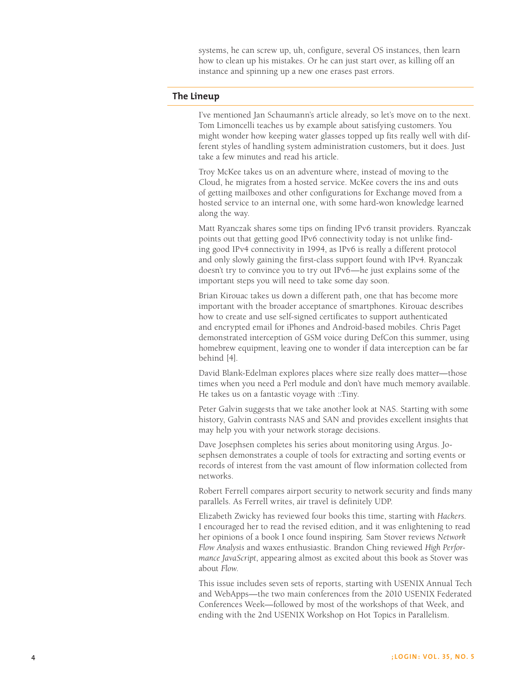systems, he can screw up, uh, configure, several OS instances, then learn how to clean up his mistakes. Or he can just start over, as killing off an instance and spinning up a new one erases past errors.

# **The Lineup**

I've mentioned Jan Schaumann's article already, so let's move on to the next. Tom Limoncelli teaches us by example about satisfying customers. You might wonder how keeping water glasses topped up fits really well with different styles of handling system administration customers, but it does. Just take a few minutes and read his article.

Troy McKee takes us on an adventure where, instead of moving to the Cloud, he migrates from a hosted service. McKee covers the ins and outs of getting mailboxes and other configurations for Exchange moved from a hosted service to an internal one, with some hard-won knowledge learned along the way.

Matt Ryanczak shares some tips on finding IPv6 transit providers. Ryanczak points out that getting good IPv6 connectivity today is not unlike find ing good IPv4 connectivity in 1994, as IPv6 is really a different protocol and only slowly gaining the first-class support found with IPv4. Ryanczak doesn't try to convince you to try out IPv6—he just explains some of the important steps you will need to take some day soon.

Brian Kirouac takes us down a different path, one that has become more important with the broader acceptance of smartphones. Kirouac describes how to create and use self-signed certificates to support authenticated and encrypted email for iPhones and Android-based mobiles. Chris Paget demonstrated interception of GSM voice during DefCon this summer, using homebrew equipment, leaving one to wonder if data interception can be far behind [4].

David Blank-Edelman explores places where size really does matter—those times when you need a Perl module and don't have much memory available. He takes us on a fantastic voyage with ::Tiny.

Peter Galvin suggests that we take another look at NAS. Starting with some history, Galvin contrasts NAS and SAN and provides excellent insights that may help you with your network storage decisions.

Dave Josephsen completes his series about monitoring using Argus. Jo sephsen demonstrates a couple of tools for extracting and sorting events or records of interest from the vast amount of flow information collected from networks.

Robert Ferrell compares airport security to network security and finds many parallels. As Ferrell writes, air travel is definitely UDP.

Elizabeth Zwicky has reviewed four books this time, starting with *Hackers*. I encouraged her to read the revised edition, and it was enlightening to read her opinions of a book I once found inspiring. Sam Stover reviews *Network Flow Analysis* and waxes enthusiastic. Brandon Ching reviewed *High Performance JavaScript*, appearing almost as excited about this book as Stover was about *Flow* .

This issue includes seven sets of reports, starting with USENIX Annual Tech and WebApps—the two main conferences from the 2010 USENIX Federated Conferences Week—followed by most of the workshops of that Week, and ending with the 2nd USENIX Workshop on Hot Topics in Parallelism.